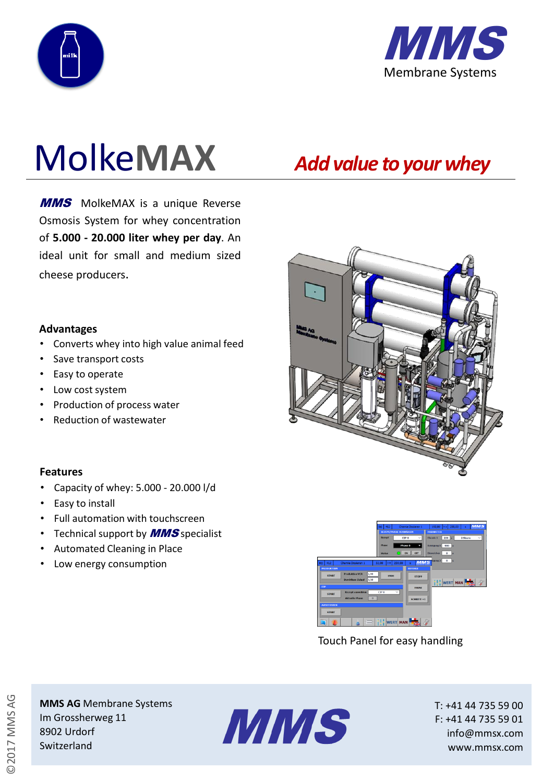



# Molke**MAX**

**MMS** MolkeMAX is a unique Reverse Osmosis System for whey concentration of **5.000 - 20.000 liter whey per day**. An ideal unit for small and medium sized cheese producers.

#### **Advantages**

- Converts whey into high value animal feed
- Save transport costs
- Easy to operate
- Low cost system
- Production of process water
- Reduction of wastewater

### **Features**

- Capacity of whey: 5.000 20.000 l/d
- Easy to install
- Full automation with touchscreen
- Technical support by **MMS** specialist
- Automated Cleaning in Place
- Low energy consumption



Touch Panel for easy handling

©2017 MMS AG

**MMS AG** Membrane Systems Im Grossherweg 11 8902 Urdorf Switzerland



T: +41 44 735 59 00 F: +41 44 735 59 01 info@mmsx.com www.mmsx.com

## *Add value to yourwhey*